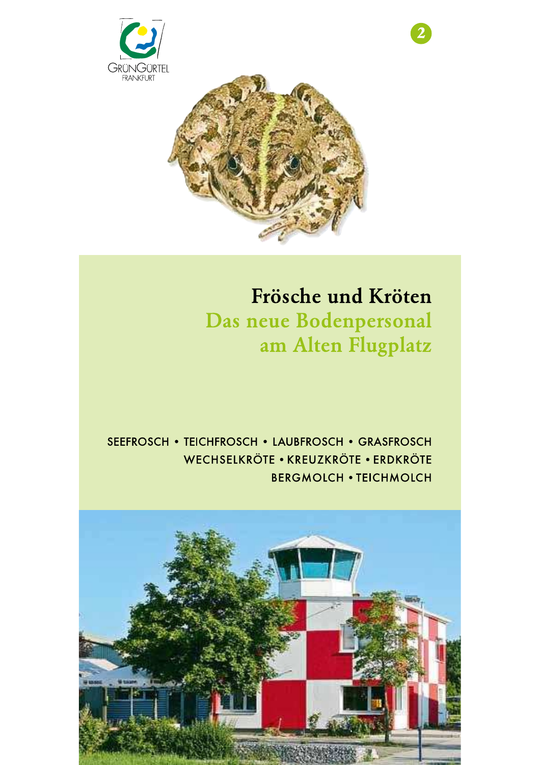



# Frösche und Kröten Das neue Bodenpersonal am Alten Flugplatz

## SEEFROSCH • TEICHFROSCH • LAUBFROSCH • GRASFROSCH WECHSELKRÖTE • KREUZKRÖTE • ERDKRÖTE **BERGMOLCH . TEICHMOLCH**

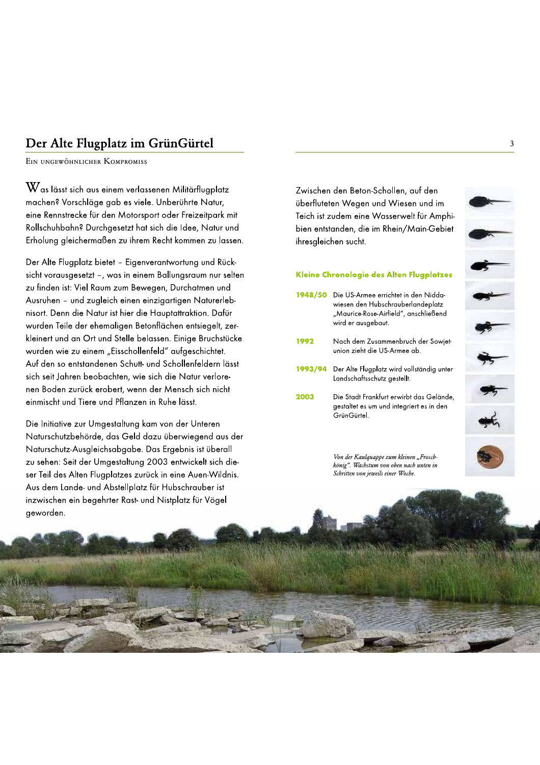## Der Alte Flugplatz im GrünGürtel

EIN UNGEWÖHNLICHER KOMPROMISS

 $\rm W$ as lässt sich aus einem verlassenen Militärflugplatz machen? Vorschläge gab es viele. Unberührte Natur, eine Rennstrecke für den Motorsport oder Freizeitpark mit Rollschuhbahn? Durchgesetzt hat sich die Idee, Natur und Erholung gleichermaßen zu ihrem Recht kommen zu lassen.

Der Alte Flugplatz bietet - Eigenverantwortung und Rücksicht vorausgesetzt -, was in einem Ballungsraum nur selten zu finden ist: Viel Raum zum Bewegen, Durchatmen und Ausruhen - und zugleich einen einzigartigen Naturerlebnisort. Denn die Natur ist hier die Hauptattraktion. Dafür wurden Teile der ehemaligen Betonflächen entsiegelt, zerkleinert und an Ort und Stelle belassen. Einige Bruchstücke wurden wie zu einem "Eisschollenfeld" aufgeschichtet. Auf den so entstandenen Schutt- und Schollenfeldern lässt sich seit Jahren beobachten, wie sich die Natur verlorenen Boden zurück erobert, wenn der Mensch sich nicht einmischt und Tiere und Pflanzen in Ruhe lässt.

Die Initiative zur Umgestaltung kam von der Unteren Naturschutzbehörde, das Geld dazu überwiegend aus der Naturschutz-Ausgleichsabgabe. Das Ergebnis ist überall zu sehen: Seit der Umgestaltung 2003 entwickelt sich dieser Teil des Alten Flugplatzes zurück in eine Auen-Wildnis. Aus dem Lande- und Abstellplatz für Hubschrauber ist

Zwischen den Beton-Schollen, auf den überfluteten Wegen und Wiesen und im Teich ist zudem eine Wasserwelt für Amphibien entstanden, die im Rhein/Main-Gebiet ihresgleichen sucht.

#### Kleine Chronologie des Alten Flugplatzes

- 1948/50 Die US-Armee errichtet in den Niddawiesen den Hubschrauberlandeplatz "Maurice-Rose-Airfield", anschließend wird er ausgebaut.
- 1992 Nach dem Zusammenbruch der Sowjetunion zieht die US-Armee ab.
- 1993/94 Der Alte Flugplatz wird vollständig unter Landschaftsschutz gestellt.
- 2003 Die Stadt Frankfurt erwirbt das Gelände, gestaltet es um und integriert es in den GrünGürtel.



Von der Kaulquappe zum kleinen "Froschkönig". Wachstum von oben nach unten in Schritten von jeweils einer Woche.

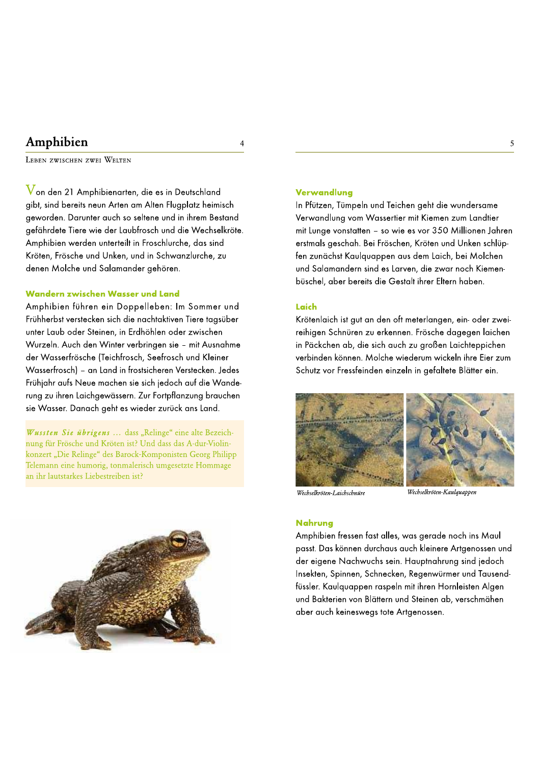## Amphibien

LEBEN ZWISCHEN ZWEI WELTEN

 $\overline{V}$ on den 21 Amphibienarten, die es in Deutschland gibt, sind bereits neun Arten am Alten Flugplatz heimisch geworden. Darunter auch so seltene und in ihrem Bestand gefährdete Tiere wie der Laubfrosch und die Wechselkröte. Amphibien werden unterteilt in Froschlurche, das sind Kröten, Frösche und Unken, und in Schwanzlurche, zu denen Molche und Salamander gehören.

#### Wandern zwischen Wasser und Land

Amphibien führen ein Doppelleben: Im Sommer und Frühherbst verstecken sich die nachtaktiven Tiere tagsüber unter Laub oder Steinen, in Erdhöhlen oder zwischen Wurzeln. Auch den Winter verbringen sie - mit Ausnahme der Wasserfrösche (Teichfrosch, Seefrosch und Kleiner Wasserfrosch) - an Land in frostsicheren Verstecken. Jedes Frühjahr aufs Neue machen sie sich jedoch auf die Wanderung zu ihren Laichgewässern. Zur Fortpflanzung brauchen sie Wasser. Danach geht es wieder zurück ans Land.

Wussten Sie übrigens ... dass "Relinge" eine alte Bezeichnung für Frösche und Kröten ist? Und dass das A-dur-Violinkonzert "Die Relinge" des Barock-Komponisten Georg Philipp Telemann eine humorig, tonmalerisch umgesetzte Hommage an ihr lautstarkes Liebestreiben ist?



### $\overline{A}$

#### Verwandlung

In Pfützen, Tümpeln und Teichen geht die wundersame Verwandlung vom Wassertier mit Kiemen zum Landtier mit Lunge vonstatten - so wie es vor 350 Millionen Jahren erstmals geschah. Bei Fröschen, Kröten und Unken schlüpfen zunächst Kaulguappen aus dem Laich, bei Molchen und Salamandern sind es Larven, die zwar noch Kiemenbüschel, aber bereits die Gestalt ihrer Eltern haben.

#### Laich

Krötenlaich ist gut an den oft meterlangen, ein- oder zweireihigen Schnüren zu erkennen. Frösche dagegen laichen in Päckchen ab, die sich auch zu großen Laichteppichen verbinden können. Molche wiederum wickeln ihre Eier zum Schutz vor Fressfeinden einzeln in gefaltete Blätter ein.



Wechselkröten-Laichschnüre

.<br>Wechselkröten-Kaulquappen

#### **Nahruna**

Amphibien fressen fast alles, was gerade noch ins Maul passt. Das können durchaus auch kleinere Artgenossen und der eigene Nachwuchs sein. Hauptnahrung sind jedoch Insekten, Spinnen, Schnecken, Regenwürmer und Tausendfüssler. Kaulguappen raspeln mit ihren Hornleisten Algen und Bakterien von Blättern und Steinen ab, verschmähen aber auch keineswegs tote Artgenossen.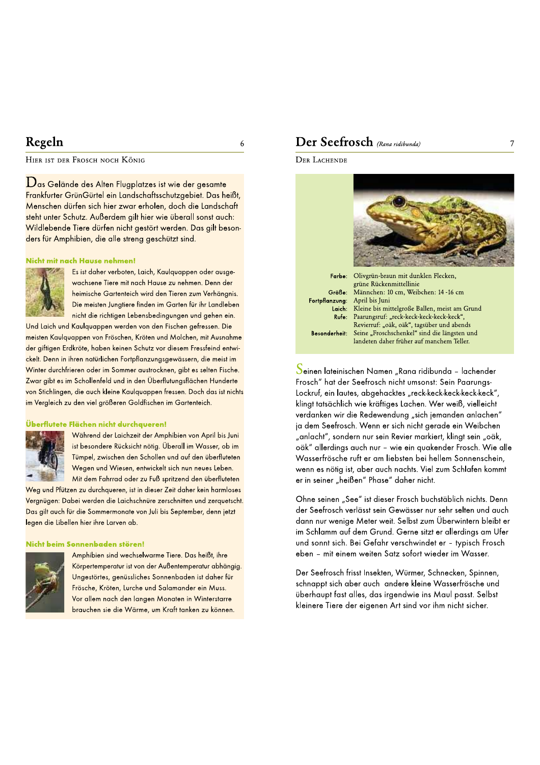## Regeln

HIER IST DER FROSCH NOCH KÖNIG

 $\mathbf D$ as Gelände des Alten Flugplatzes ist wie der gesamte Frankfurter GrünGürtel ein Landschaftsschutzgebiet. Das heißt, Menschen dürfen sich hier zwar erholen, doch die Landschaft steht unter Schutz. Außerdem gilt hier wie überall sonst auch: Wildlebende Tiere dürfen nicht gestört werden. Das gilt besonders für Amphibien, die alle streng geschützt sind.

#### Nicht mit nach Hause nehmen!



Es ist daher verboten, Laich, Kaulquappen oder ausgewachsene Tiere mit nach Hause zu nehmen. Denn der heimische Gartenteich wird den Tieren zum Verhängnis. Die meisten Jungtiere finden im Garten für ihr Landleben nicht die richtigen Lebensbedingungen und gehen ein.

Und Laich und Kaulguappen werden von den Fischen gefressen. Die meisten Kaulguappen von Fröschen, Kröten und Molchen, mit Ausnahme der giftigen Erdkröte, haben keinen Schutz vor diesem Fressfeind entwickelt. Denn in ihren natürlichen Fortpflanzungsgewässern, die meist im Winter durchfrieren oder im Sommer austrocknen, gibt es selten Fische. Zwar gibt es im Schollenfeld und in den Überflutungsflächen Hunderte von Stichlingen, die auch kleine Kaulquappen fressen. Doch das ist nichts im Vergleich zu den viel größeren Goldfischen im Gartenteich.

#### Überflutete Flächen nicht durchaueren!



Während der Laichzeit der Amphibien von April bis Juni ist besondere Rücksicht nötig. Überall im Wasser, ob im Tümpel, zwischen den Schollen und auf den überfluteten Wegen und Wiesen, entwickelt sich nun neues Leben. Mit dem Fahrrad oder zu Fuß spritzend den überfluteten

Weg und Pfützen zu durchqueren, ist in dieser Zeit daher kein harmloses Vergnügen: Dabei werden die Laichschnüre zerschnitten und zerquetscht. Das gilt auch für die Sommermonate von Juli bis September, denn jetzt legen die Libellen hier ihre Larven ab.

#### Nicht beim Sonnenbaden stören!



Amphibien sind wechselwarme Tiere. Das heißt, ihre Körpertemperatur ist von der Außentemperatur abhängig. Ungestörtes, genüssliches Sonnenbaden ist daher für Frösche, Kröten, Lurche und Salamander ein Muss. Vor allem nach den langen Monaten in Winterstarre brauchen sie die Wärme, um Kraft tanken zu können.

### Der Seefrosch (Rana ridibunda)

6





Kleine bis mittelgroße Ballen, meist am Grund Laich: Paarungsruf: "reck-keck-keck-keck-keck", Rufe: Revierruf: "oäk, oäk", tagsüber und abends Seine "Froschschenkel" sind die längsten und **Besonderheit:** landeten daher früher auf manchem Teller.

Seinen lateinischen Namen "Rana ridibunda - lachender Frosch" hat der Seefrosch nicht umsonst: Sein Paarungs-Lockruf, ein lautes, abgehacktes "reck-keck-keck-keck-keck", klingt tatsächlich wie kräftiges Lachen. Wer weiß, vielleicht verdanken wir die Redewendung "sich jemanden anlachen" ja dem Seefrosch. Wenn er sich nicht gerade ein Weibchen "anlacht", sondern nur sein Revier markiert, klingt sein "oäk, oäk" allerdings auch nur - wie ein quakender Frosch. Wie alle Wasserfrösche ruft er am liebsten bei hellem Sonnenschein, wenn es nötig ist, aber auch nachts. Viel zum Schlafen kommt er in seiner "heißen" Phase" daher nicht.

Ohne seinen "See" ist dieser Frosch buchstäblich nichts. Denn der Seefrosch verlässt sein Gewässer nur sehr selten und auch dann nur wenige Meter weit. Selbst zum Überwintern bleibt er im Schlamm auf dem Grund. Gerne sitzt er allerdings am Ufer und sonnt sich. Bei Gefahr verschwindet er - typisch Frosch eben - mit einem weiten Satz sofort wieder im Wasser.

Der Seefrosch frisst Insekten, Würmer, Schnecken, Spinnen, schnappt sich aber auch andere kleine Wasserfrösche und überhaupt fast alles, das irgendwie ins Maul passt. Selbst kleinere Tiere der eigenen Art sind vor ihm nicht sicher.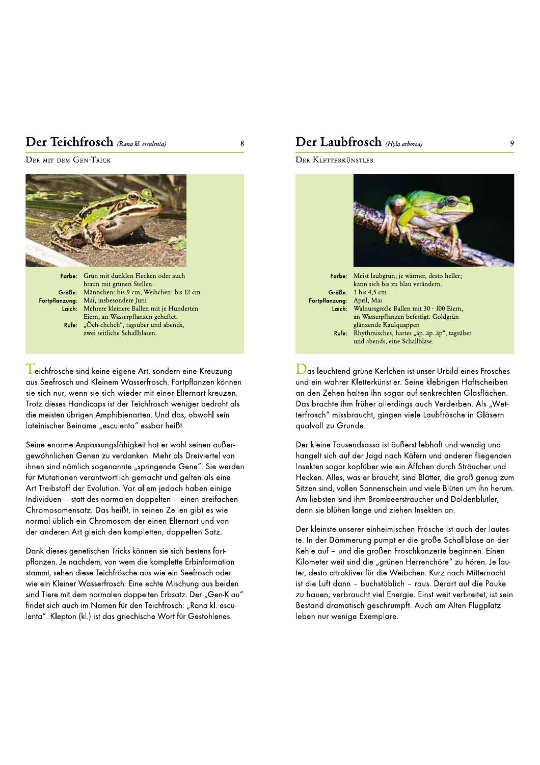## Der leichtrosch



 $\frac{1}{\Gamma}$ eichfrösche sind keine eigene Art, sondern eine Kreuzung<br>aus Seefrosch und Kleinem Wasserfrosch. Fortpflanzen können sie sich nur, wenn sie sich wieder mit einer Elternart kreuzen. Trotz dieses Handicaps ist der Teichfrosch weniger bedroht als die meisten übrigen Amphibienarten. Und das, obwohl sein lateinischer Beiname "esculenta" essbar heißt.

Seine enorme Anpassungsfähigkeit hat er wohl seinen außergewöhnlichen Genen zu verdanken. Mehr als Dreiviertel von ihnen sind nämlich sogenannte "springende Gene". Sie werden für Mutationen verantwortlich gemacht und gelten als eine Art Treibstoff der Evolution. Vor allem jedoch haben einige Individuen - statt des normalen doppelten - einen dreifachen Chromosomensatz. Das heißt, in seinen Zellen gibt es wie normal üblich ein Chromosom der einen Elternart und von der anderen Art gleich den kompletten, doppelten Satz.

Dank dieses genetischen Tricks können sie sich bestens fortpflanzen. Je nachdem, von wem die komplette Erbinformation stammt, sehen diese Teichfrösche aus wie ein Seefrosch oder wie ein Kleiner Wasserfrosch. Eine echte Mischung aus beiden sind Tiere mit dem normalen doppelten Erbsatz. Der "Gen-Klau" findet sich auch im Namen für den Teichfrosch: "Rana kl. esculenta". Klepton (kl.) ist das griechische Wort für Gestohlenes.

## 8 **Der Laubtrosch** (Hyla arborea) 9



 $\bigcup$ as leuchtend grüne Kerlchen ist unser Urbild eines Frosches<br>und ein wahrer Kletterkünstler. Seine klebrigen Haftscheiben an den Zehen halten ihn sogar auf senkrechten Glasflächen. Das brachte ihm früher allerdings auch Verderben. Als "Wetterfrosch" missbraucht, gingen viele Laubfrösche in Gläsern qualvoll zu Grunde.

Der kleine Tausendsassa ist äußerst lebhaft und wendig und hangelt sich auf der Jagd nach Käfern und anderen fliegenden Insekten sogar kopfüber wie ein Äffchen durch Sträucher und Hecken. Alles, was er braucht, sind Blätter, die groß genug zum Sitzen sind, vollen Sonnenschein und viele Blüten um ihn herum. Am liebsten sind ihm Brombeersträucher und Doldenblütler, denn sie blühen lange und ziehen Insekten an.

Der kleinste unserer einheimischen Frösche ist auch der lauteste. In der Dämmerung pumpt er die große Schallblase an der Kehle auf - und die großen Froschkonzerte beginnen. Einen Kilometer weit sind die "grünen Herrenchöre" zu hören. Je lauter, desto attraktiver für die Weibchen. Kurz nach Mitternacht ist die Luft dann - buchstäblich - raus. Derart auf die Pauke zu hauen, verbraucht viel Energie. Einst weit verbreitet, ist sein Bestand dramatisch geschrumpft. Auch am Alten Flugplatz leben nur wenige Exemplare.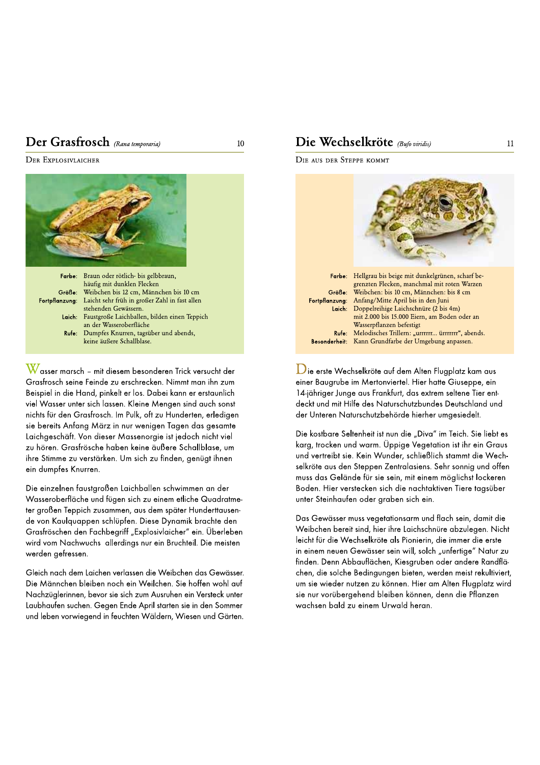## Der Grastrosch



 $\mathbf W$ asser marsch – mit diesem besonderen Trick versucht der<br>Grasfrosch seine Feinde zu erschrecken. Nimmt man ihn zum Beispiel in die Hand, pinkelt er los. Dabei kann er erstaunlich viel Wasser unter sich lassen. Kleine Mengen sind auch sonst nichts für den Grasfrosch. Im Pulk, oft zu Hunderten, erledigen sie bereits Anfang März in nur wenigen Tagen das gesamte Laichgeschäft. Von dieser Massenorgie ist jedoch nicht viel zu hören. Grasfrösche haben keine äußere Schallblase, um ihre Stimme zu verstärken. Um sich zu finden, genügt ihnen ein dumpfes Knurren.

Die einzelnen faustgroßen Laichballen schwimmen an der Wasseroberfläche und fügen sich zu einem etliche Quadratmeter großen Teppich zusammen, aus dem später Hunderttausende von Kaulquappen schlüpfen. Diese Dynamik brachte den Grasfröschen den Fachbegriff "Explosivlaicher" ein. Überleben wird vom Nachwuchs allerdings nur ein Bruchteil. Die meisten werden gefressen.

Gleich nach dem Laichen verlassen die Weibchen das Gewässer. Die Männchen bleiben noch ein Weilchen. Sie hoffen wohl auf Nachzüglerinnen, bevor sie sich zum Ausruhen ein Versteck unter Laubhaufen suchen. Gegen Ende April starten sie in den Sommer und leben vorwiegend in feuchten Wäldern, Wiesen und Gärten.

## 10 **Die Wechselkröte** (Bufo viridis) 11 11

DIE AUS DER STEPPE KOMMT



 $\mathbf{\mathcal{D}}$ ie erste Wechselkröte auf dem Alten Flugplatz kam aus<br>einer Baugrube im Mertonviertel. Hier hatte Giuseppe, ein 14-jähriger Junge aus Frankfurt, das extrem seltene Tier entdeckt und mit Hilfe des Naturschutzbundes Deutschland und der Unteren Naturschutzbehörde hierher umgesiedelt.

Die kostbare Seltenheit ist nun die "Diva" im Teich. Sie liebt es karg, trocken und warm. Üppige Vegetation ist ihr ein Graus und vertreibt sie. Kein Wunder, schließlich stammt die Wechselkröte aus den Steppen Zentralasiens. Sehr sonnig und offen muss das Gelände für sie sein, mit einem möglichst lockeren Boden. Hier verstecken sich die nachtaktiven Tiere tagsüber unter Steinhaufen oder graben sich ein.

Das Gewässer muss vegetationsarm und flach sein, damit die Weibchen bereit sind, hier ihre Laichschnüre abzulegen. Nicht leicht für die Wechselkröte als Pionierin, die immer die erste in einem neuen Gewässer sein will, solch "unfertige" Natur zu finden. Denn Abbauflächen, Kiesgruben oder andere Randflächen, die solche Bedingungen bieten, werden meist rekultiviert, um sie wieder nutzen zu können. Hier am Alten Flugplatz wird sie nur vorübergehend bleiben können, denn die Pflanzen wachsen bald zu einem Urwald heran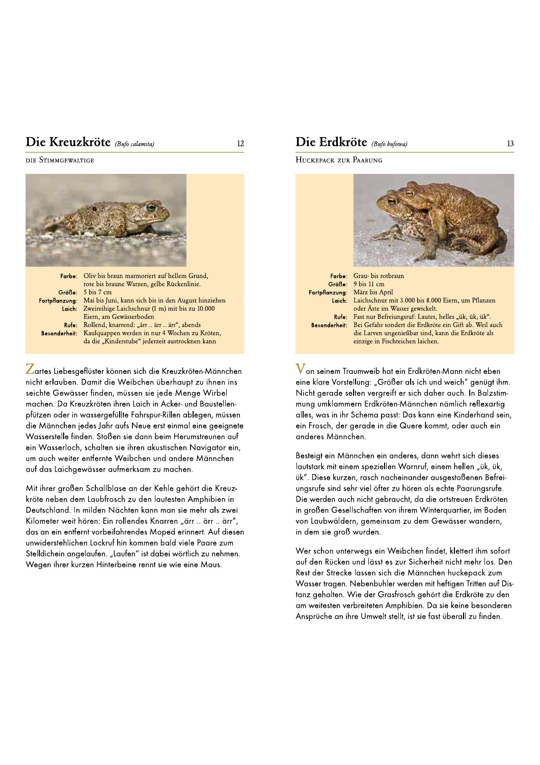### Die Kreuzkröte (Bufo calamita)

DIE STIMMGEWALTIGE



Lartes Liebesgeflüster können sich die Kreuzkröten-Männchen nicht erlauben. Damit die Weibchen überhaupt zu ihnen ins seichte Gewässer finden, müssen sie jede Menge Wirbel machen. Da Kreuzkröten ihren Laich in Acker- und Baustellenpfützen oder in wassergefüllte Fahrspur-Rillen ablegen, müssen die Männchen jedes Jahr aufs Neue erst einmal eine geeignete Wasserstelle finden. Stoßen sie dann beim Herumstreunen auf ein Wasserloch, schalten sie ihren akustischen Navigator ein, um auch weiter entfernte Weibchen und andere Männchen auf das Laichgewässer aufmerksam zu machen.

Mit ihrer großen Schallblase an der Kehle gehört die Kreuzkröte neben dem Laubfrosch zu den lautesten Amphibien in Deutschland. In milden Nächten kann man sie mehr als zwei Kilometer weit hören: Ein rollendes Knarren "ärr .. ärr .. ärr", das an ein entfernt vorbeifahrendes Moped erinnert. Auf diesen unwiderstehlichen Lockruf hin kommen bald viele Paare zum Stelldichein angelaufen. "Laufen" ist dabei wörtlich zu nehmen. Wegen ihrer kurzen Hinterbeine rennt sie wie eine Maus.

### Die Erdkröte (Bufo bufowa)

HUCKEPACK ZUR PAARUNG

 $12$ 



| <b>Farbe:</b> Grau- bis rotbraun                                     |
|----------------------------------------------------------------------|
| Größe: 9 bis 11 cm                                                   |
| Fortpflanzung: März bis April                                        |
| Laich: Laichschnur mit 3.000 bis 8.000 Eiern, um Pflanzen            |
| oder Äste im Wasser gewickelt.                                       |
| Rufe: Fast nur Befreiungsruf: Lautes, helles "ük, ük, ük".           |
| Besonderheit: Bei Gefahr sondert die Erdkröte ein Gift ab. Weil auch |
| die Larven ungenießbar sind, kann die Erdkröte als                   |
| einzige in Fischteichen laichen.                                     |
|                                                                      |

V on seinem Traumweib hat ein Erdkröten-Mann nicht eben eine klare Vorstellung: "Größer als ich und weich" genügt ihm. Nicht gerade selten vergreift er sich daher auch. In Balzstimmung umklammern Erdkröten-Männchen nämlich reflexartig alles, was in ihr Schema passt: Das kann eine Kinderhand sein, ein Frosch, der gerade in die Quere kommt, oder auch ein anderes Männchen.

Besteigt ein Männchen ein anderes, dann wehrt sich dieses lautstark mit einem speziellen Warnruf, einem hellen "ük, ük, ük". Diese kurzen, rasch nacheinander ausgestoßenen Befreiungsrufe sind sehr viel öfter zu hören als echte Paarungsrufe. Die werden auch nicht gebraucht, da die ortstreuen Erdkröten in großen Gesellschaften von ihrem Winterquartier, im Boden von Laubwäldern, gemeinsam zu dem Gewässer wandern, in dem sie groß wurden.

Wer schon unterwegs ein Weibchen findet, klettert ihm sofort auf den Rücken und lässt es zur Sicherheit nicht mehr los. Den Rest der Strecke lassen sich die Männchen huckepack zum Wasser tragen. Nebenbuhler werden mit heftigen Tritten auf Distanz gehalten. Wie der Grasfrosch gehört die Erdkröte zu den am weitesten verbreiteten Amphibien. Da sie keine besonderen Ansprüche an ihre Umwelt stellt, ist sie fast überall zu finden.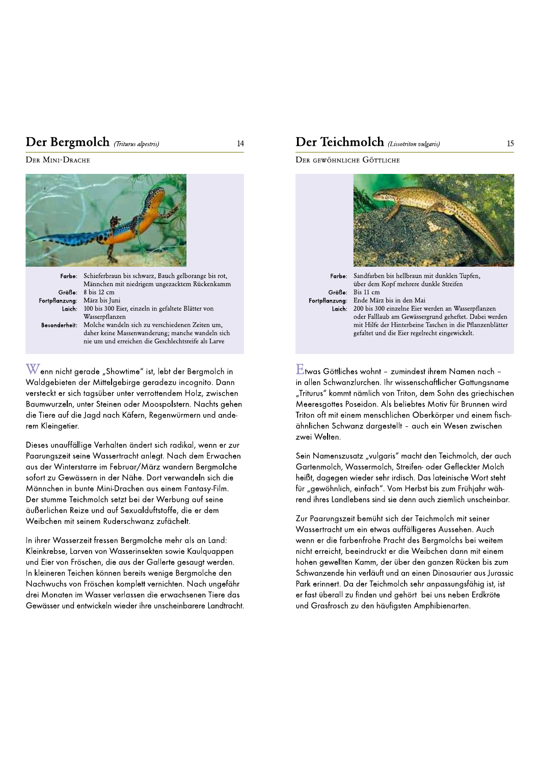## **Der Bergmolch** (Triturus alpestris) 14



versteckt er sich tagsüber unter verrottendem Holz, zwischen Baumwurzeln, unter Steinen oder Moospolstern. Nachts gehen die Tiere auf die Jagd nach Käfern, Regenwürmern und anderem Kleingetier.

Dieses unauffällige Verhalten ändert sich radikal, wenn er zur Paarungszeit seine Wassertracht anlegt. Nach dem Erwachen aus der Winterstarre im Februar/März wandern Beramolche sofort zu Gewässern in der Nähe. Dort verwandeln sich die Männchen in bunte Mini-Drachen aus einem Fantasy-Film. Der stumme Teichmolch setzt bei der Werbung auf seine äußerlichen Reize und auf Sexualduftstoffe, die er dem Weibchen mit seinem Ruderschwanz zufächelt.

In ihrer Wasserzeit fressen Bergmolche mehr als an Land: Kleinkrebse, Larven von Wasserinsekten sowie Kaulquappen und Eier von Fröschen, die aus der Gallerte gesaugt werden. In kleineren Teichen können bereits wenige Bergmolche den Nachwuchs von Fröschen komplett vernichten. Nach ungefähr drei Monaten im Wasser verlassen die erwachsenen Tiere das Gewässer und entwickeln wieder ihre unscheinbarere Landtracht.

## DEI DEI ACIENTIFICIE (Lissotriton vulgaris) 15<br>DER MINI-DRACHE DEI REINER (Lissotriton vulgaris) 15 - ¡ ¢££¤¥¦

DER GEWÖHNLICHE GÖTTLICHE



"Triturus" kommt nämlich von Triton, dem Sohn des griechischen Meeresgottes Poseidon. Als beliebtes Motiv für Brunnen wird Triton oft mit einem menschlichen Oberkörper und einem fischähnlichen Schwanz dargestellt - auch ein Wesen zwischen zwei Welten.

Sein Namenszusatz "vulgaris" macht den Teichmolch, der auch Gartenmolch, Wassermolch, Streifen- oder Gefleckter Molch heißt, dagegen wieder sehr irdisch. Das lateinische Wort steht für "gewöhnlich, einfach". Vom Herbst bis zum Frühjahr während ihres Landlebens sind sie denn auch ziemlich unscheinbar.

Zur Paarungszeit bemüht sich der Teichmolch mit seiner Wassertracht um ein etwas auffälligeres Aussehen. Auch wenn er die farbenfrohe Pracht des Bergmolchs bei weitem nicht erreicht, beeindruckt er die Weibchen dann mit einem hohen gewellten Kamm, der über den ganzen Rücken bis zum Schwanzende hin verläuft und an einen Dinosaurier aus Jurassic Park erinnert. Da der Teichmolch sehr anpassungsfähig ist, ist er fast überall zu finden und gehört bei uns neben Erdkröte und Grasfrosch zu den häufigsten Amphibienarten.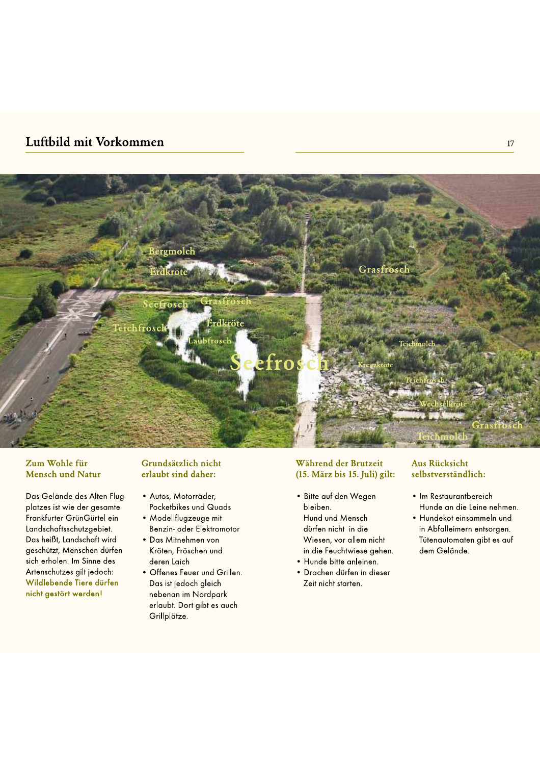## Luftbild mit Vorkommen



#### Zum Wohle für **Mensch und Natur**

Das Gelände des Alten Flugplatzes ist wie der gesamte Frankfurter GrünGürtel ein Landschaftsschutzgebiet. Das heißt, Landschaft wird geschützt, Menschen dürfen sich erholen. Im Sinne des Artenschutzes gilt jedoch: Wildlebende Tiere dürfen nicht gestört werden!

### Grundsätzlich nicht erlaubt sind daher:

- · Autos, Motorräder, Pocketbikes und Quads
- · Modellflugzeuge mit Benzin- oder Elektromotor
- Das Mitnehmen von Kröten, Fröschen und deren Laich
- · Offenes Feuer und Grillen. Das ist jedoch gleich nebenan im Nordpark erlaubt. Dort gibt es auch Grillplätze.

#### Während der Brutzeit (15. März bis 15. Juli) gilt:

- · Bitte auf den Wegen bleiben. Hund und Mensch dürfen nicht in die Wiesen, vor allem nicht in die Feuchtwiese gehen.
- · Hunde bitte anleinen.
- · Drachen dürfen in dieser Zeit nicht starten.

### **Aus Rücksicht** selbstverständlich:

- · Im Restaurantbereich Hunde an die Leine nehmen.
- · Hundekot einsammeln und in Abfalleimern entsorgen. Tütenautomaten gibt es auf dem Gelände.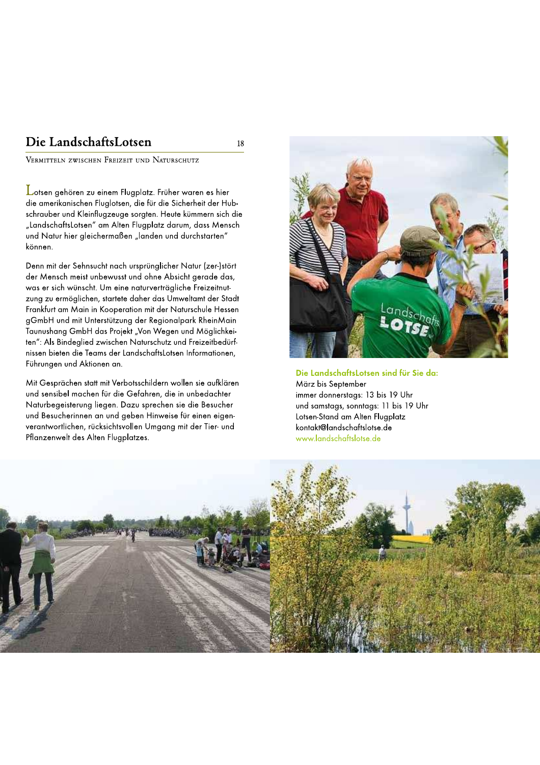## Die LandschaftsLotsen

VERMITTELN ZWISCHEN FREIZEIT UND NATURSCHUTZ

Lotsen gehören zu einem Flugplatz. Früher waren es hier die amerikanischen Fluglotsen, die für die Sicherheit der Hubschrauber und Kleinflugzeuge sorgten. Heute kümmern sich die "LandschaftsLotsen" am Alten Flugplatz darum, dass Mensch und Natur hier gleichermaßen "landen und durchstarten" können.

Denn mit der Sehnsucht nach ursprünglicher Natur (zer-)stört der Mensch meist unbewusst und ohne Absicht gerade das, was er sich wünscht. Um eine naturverträgliche Freizeitnutzung zu ermöglichen, startete daher das Umweltamt der Stadt Frankfurt am Main in Kooperation mit der Naturschule Hessen gGmbH und mit Unterstützung der Regionalpark RheinMain Taunushang GmbH das Projekt "Von Wegen und Möglichkeiten": Als Bindeglied zwischen Naturschutz und Freizeitbedürfnissen bieten die Teams der LandschaftsLotsen Informationen, Führungen und Aktionen an.

Mit Gesprächen statt mit Verbotsschildern wollen sie aufklären und sensibel machen für die Gefahren, die in unbedachter Naturbegeisterung liegen. Dazu sprechen sie die Besucher und Besucherinnen an und geben Hinweise für einen eigenverantwortlichen, rücksichtsvollen Umgang mit der Tier- und Pflanzenwelt des Alten Flugplatzes.



Die LandschaftsLotsen sind für Sie da: März bis September immer donnerstags: 13 bis 19 Uhr und samstags, sonntags: 11 bis 19 Uhr Lotsen-Stand am Alten Flugplatz kontakt@landschaftslotse.de www.landschaftslotse.de



18